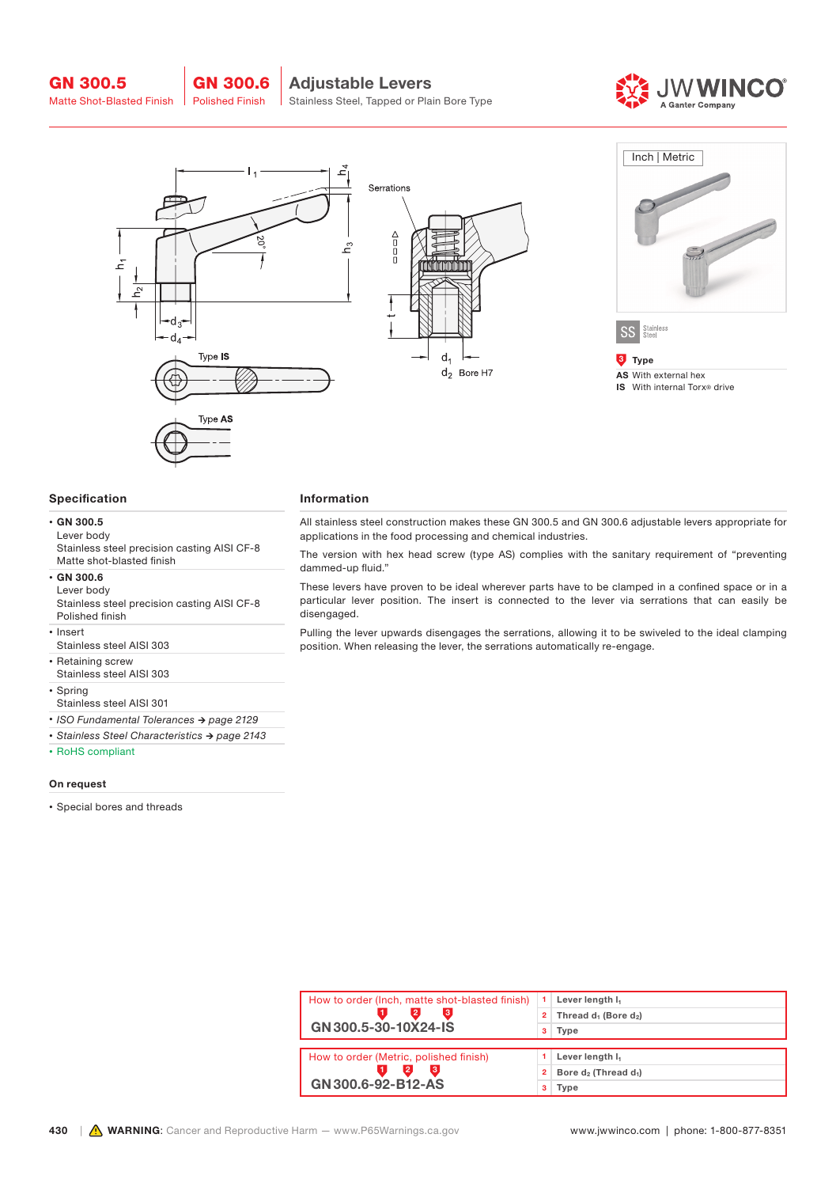



#### Specification

### • GN 300.5

Lever body Stainless steel precision casting AISI CF-8 Matte shot-blasted finish

• GN 300.6

Lever body Stainless steel precision casting AISI CF-8 Polished finish

• Insert

Stainless steel AISI 303

• Retaining screw

Stainless steel AISI 303

- Spring
- Stainless steel AISI 301
- *• ISO Fundamental Tolerances → page 2129*
- *• Stainless Steel Characteristics → page 2143*

• RoHS compliant

#### On request

• Special bores and threads

## Information

All stainless steel construction makes these GN 300.5 and GN 300.6 adjustable levers appropriate for applications in the food processing and chemical industries.

The version with hex head screw (type AS) complies with the sanitary requirement of "preventing dammed-up fluid."

These levers have proven to be ideal wherever parts have to be clamped in a confined space or in a particular lever position. The insert is connected to the lever via serrations that can easily be disengaged.

Pulling the lever upwards disengages the serrations, allowing it to be swiveled to the ideal clamping position. When releasing the lever, the serrations automatically re-engage.

| How to order (Inch, matte shot-blasted finish) |   | Lever length I <sub>1</sub>                  |
|------------------------------------------------|---|----------------------------------------------|
| 3                                              | 2 | Thread d <sub>1</sub> (Bore d <sub>2</sub> ) |
| GN 300.5-30-10X24-IS                           | з | Type                                         |
|                                                |   |                                              |
| How to order (Metric, polished finish)         |   | Lever length I <sub>1</sub>                  |
| lз                                             | 2 | Bore $d_2$ (Thread $d_1$ )                   |
| GN 300.6-92-B12-AS                             | з | Type                                         |